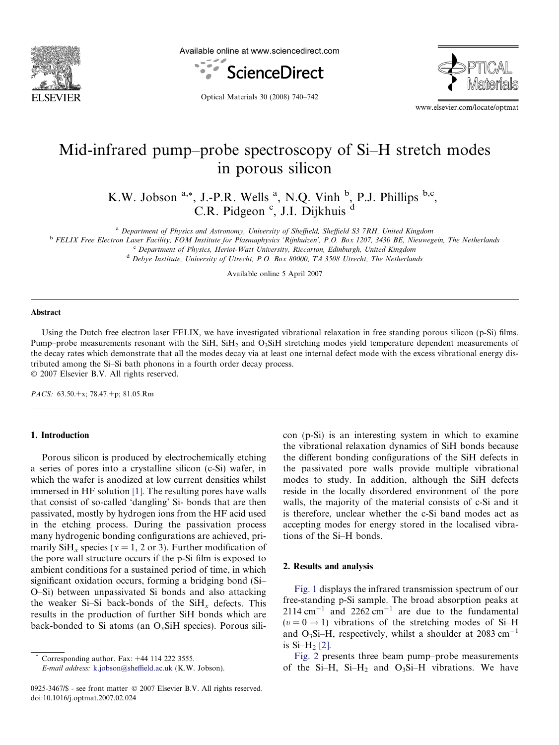

Available online at www.sciencedirect.com





Optical Materials 30 (2008) 740–742

www.elsevier.com/locate/optmat

# Mid-infrared pump–probe spectroscopy of Si–H stretch modes in porous silicon

K.W. Jobson  $a_{i*}$ , J.-P.R. Wells  $a_{i}$ , N.Q. Vinh  $b_{i}$ , P.J. Phillips  $b_{i}c_{i}$ , C.R. Pidgeon<sup>c</sup>, J.I. Dijkhuis d

<sup>a</sup> Department of Physics and Astronomy, University of Sheffield, Sheffield S3 7RH, United Kingdom

<sup>b</sup> FELIX Free Electron Laser Facility, FOM Institute for Plasmaphysics 'Rijnhuizen', P.O. Box 1207, 3430 BE, Nieuwegein, The Netherlands

<sup>c</sup> Department of Physics, Heriot-Watt University, Riccarton, Edinburgh, United Kingdom

<sup>d</sup> Debye Institute, University of Utrecht, P.O. Box 80000, TA 3508 Utrecht, The Netherlands

Available online 5 April 2007

#### Abstract

Using the Dutch free electron laser FELIX, we have investigated vibrational relaxation in free standing porous silicon (p-Si) films. Pump–probe measurements resonant with the SiH, SiH<sub>2</sub> and O<sub>3</sub>SiH stretching modes yield temperature dependent measurements of the decay rates which demonstrate that all the modes decay via at least one internal defect mode with the excess vibrational energy distributed among the Si–Si bath phonons in a fourth order decay process. © 2007 Elsevier B.V. All rights reserved.

PACS: 63.50.+x; 78.47.+p; 81.05.Rm

# 1. Introduction

Porous silicon is produced by electrochemically etching a series of pores into a crystalline silicon (c-Si) wafer, in which the wafer is anodized at low current densities whilst immersed in HF solution [\[1\]](#page-2-0). The resulting pores have walls that consist of so-called 'dangling' Si- bonds that are then passivated, mostly by hydrogen ions from the HF acid used in the etching process. During the passivation process many hydrogenic bonding configurations are achieved, primarily SiH<sub>x</sub> species ( $x = 1, 2$  or 3). Further modification of the pore wall structure occurs if the p-Si film is exposed to ambient conditions for a sustained period of time, in which significant oxidation occurs, forming a bridging bond (Si– O–Si) between unpassivated Si bonds and also attacking the weaker Si–Si back-bonds of the  $SiH<sub>x</sub>$  defects. This results in the production of further SiH bonds which are back-bonded to Si atoms (an  $O<sub>x</sub>SiH$  species). Porous sili-

Corresponding author. Fax:  $+44$  114 222 3555.

E-mail address: [k.jobson@sheffield.ac.uk](mailto:k.jobson@sheffield.ac.uk) (K.W. Jobson).

con (p-Si) is an interesting system in which to examine the vibrational relaxation dynamics of SiH bonds because the different bonding configurations of the SiH defects in the passivated pore walls provide multiple vibrational modes to study. In addition, although the SiH defects reside in the locally disordered environment of the pore walls, the majority of the material consists of c-Si and it is therefore, unclear whether the c-Si band modes act as accepting modes for energy stored in the localised vibrations of the Si–H bonds.

## 2. Results and analysis

[Fig. 1](#page-1-0) displays the infrared transmission spectrum of our free-standing p-Si sample. The broad absorption peaks at  $2114 \text{ cm}^{-1}$  and  $2262 \text{ cm}^{-1}$  are due to the fundamental  $(v = 0 \rightarrow 1)$  vibrations of the stretching modes of Si-H and O<sub>3</sub>Si-H, respectively, whilst a shoulder at 2083 cm<sup>-1</sup> is  $Si-H_2$  [\[2\]](#page-2-0).

[Fig. 2](#page-1-0) presents three beam pump–probe measurements of the Si-H, Si-H<sub>2</sub> and O<sub>3</sub>Si-H vibrations. We have

<sup>0925-3467/\$ -</sup> see front matter © 2007 Elsevier B.V. All rights reserved. doi:10.1016/j.optmat.2007.02.024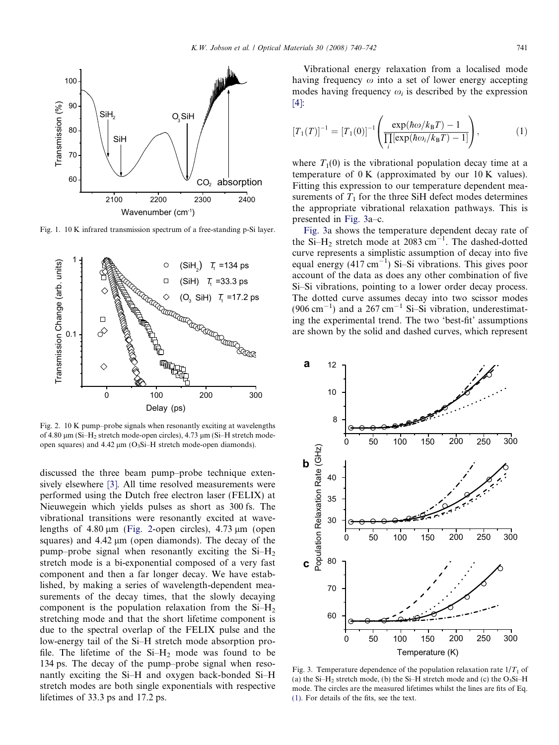<span id="page-1-0"></span>

Fig. 1. 10 K infrared transmission spectrum of a free-standing p-Si layer.



Fig. 2. 10 K pump–probe signals when resonantly exciting at wavelengths of 4.80  $\mu$ m (Si–H<sub>2</sub> stretch mode-open circles), 4.73  $\mu$ m (Si–H stretch modeopen squares) and  $4.42 \mu m$  (O<sub>3</sub>Si–H stretch mode-open diamonds).

discussed the three beam pump–probe technique extensively elsewhere [\[3\].](#page-2-0) All time resolved measurements were performed using the Dutch free electron laser (FELIX) at Nieuwegein which yields pulses as short as 300 fs. The vibrational transitions were resonantly excited at wavelengths of  $4.80 \mu m$  (Fig. 2-open circles),  $4.73 \mu m$  (open squares) and  $4.42 \mu m$  (open diamonds). The decay of the pump–probe signal when resonantly exciting the  $Si-H<sub>2</sub>$ stretch mode is a bi-exponential composed of a very fast component and then a far longer decay. We have established, by making a series of wavelength-dependent measurements of the decay times, that the slowly decaying component is the population relaxation from the  $Si-H<sub>2</sub>$ stretching mode and that the short lifetime component is due to the spectral overlap of the FELIX pulse and the low-energy tail of the Si–H stretch mode absorption profile. The lifetime of the  $Si-H<sub>2</sub>$  mode was found to be 134 ps. The decay of the pump–probe signal when resonantly exciting the Si–H and oxygen back-bonded Si–H stretch modes are both single exponentials with respective lifetimes of 33.3 ps and 17.2 ps.

Vibrational energy relaxation from a localised mode having frequency  $\omega$  into a set of lower energy accepting modes having frequency  $\omega_i$  is described by the expression [\[4\]:](#page-2-0)

$$
[T_1(T)]^{-1} = [T_1(0)]^{-1} \left( \frac{\exp(\hbar \omega / k_B T) - 1}{\prod_i [\exp(\hbar \omega_i / k_B T) - 1]} \right), \tag{1}
$$

where  $T_1(0)$  is the vibrational population decay time at a temperature of  $0 K$  (approximated by our  $10 K$  values). Fitting this expression to our temperature dependent measurements of  $T_1$  for the three SiH defect modes determines the appropriate vibrational relaxation pathways. This is presented in Fig. 3a–c.

Fig. 3a shows the temperature dependent decay rate of the Si-H<sub>2</sub> stretch mode at 2083 cm<sup>-1</sup>. The dashed-dotted curve represents a simplistic assumption of decay into five equal energy  $(417 \text{ cm}^{-1})$  Si-Si vibrations. This gives poor account of the data as does any other combination of five Si–Si vibrations, pointing to a lower order decay process. The dotted curve assumes decay into two scissor modes  $(906 \text{ cm}^{-1})$  and a 267 cm<sup>-1</sup> Si-Si vibration, underestimating the experimental trend. The two 'best-fit' assumptions are shown by the solid and dashed curves, which represent



Fig. 3. Temperature dependence of the population relaxation rate  $1/T_1$  of (a) the Si–H<sub>2</sub> stretch mode, (b) the Si–H stretch mode and (c) the  $O_3S$ i–H mode. The circles are the measured lifetimes whilst the lines are fits of Eq. (1). For details of the fits, see the text.